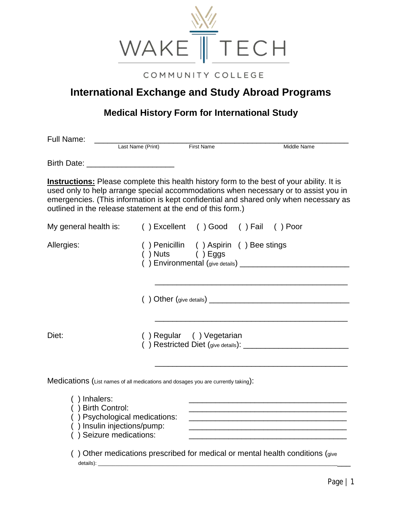

## COMMUNITY COLLEGE

## **International Exchange and Study Abroad Programs**

## **Medical History Form for International Study**

| Full Name:                                                                        |                                                                                         |                                                           |                                                                                                                                                                                                                                                                                                                               |
|-----------------------------------------------------------------------------------|-----------------------------------------------------------------------------------------|-----------------------------------------------------------|-------------------------------------------------------------------------------------------------------------------------------------------------------------------------------------------------------------------------------------------------------------------------------------------------------------------------------|
|                                                                                   | Last Name (Print)                                                                       | <b>First Name</b>                                         | Middle Name                                                                                                                                                                                                                                                                                                                   |
| Birth Date: _________________________                                             |                                                                                         |                                                           |                                                                                                                                                                                                                                                                                                                               |
| outlined in the release statement at the end of this form.)                       |                                                                                         |                                                           | <b>Instructions:</b> Please complete this health history form to the best of your ability. It is<br>used only to help arrange special accommodations when necessary or to assist you in<br>emergencies. (This information is kept confidential and shared only when necessary as                                              |
| My general health is:                                                             |                                                                                         | () Excellent () Good () Fail () Poor                      |                                                                                                                                                                                                                                                                                                                               |
| Allergies:                                                                        |                                                                                         | () Penicillin () Aspirin () Bee stings<br>() Nuts () Eggs |                                                                                                                                                                                                                                                                                                                               |
|                                                                                   |                                                                                         |                                                           |                                                                                                                                                                                                                                                                                                                               |
| Diet:                                                                             |                                                                                         | () Regular () Vegetarian                                  |                                                                                                                                                                                                                                                                                                                               |
| Medications (List names of all medications and dosages you are currently taking): |                                                                                         |                                                           |                                                                                                                                                                                                                                                                                                                               |
| () Inhalers:<br>() Birth Control:<br>details): $\_$                               | () Psychological medications:<br>() Insulin injections/pump:<br>() Seizure medications: |                                                           | <u> 1989 - Johann John Stone, markin film yn y brenin y brenin y brenin y brenin y brenin y brenin y brenin y br</u><br><u> 1980 - Johann John Stone, mars and de final de la provincia de la provincia de la provincia de la provincia d</u><br>) Other medications prescribed for medical or mental health conditions (give |